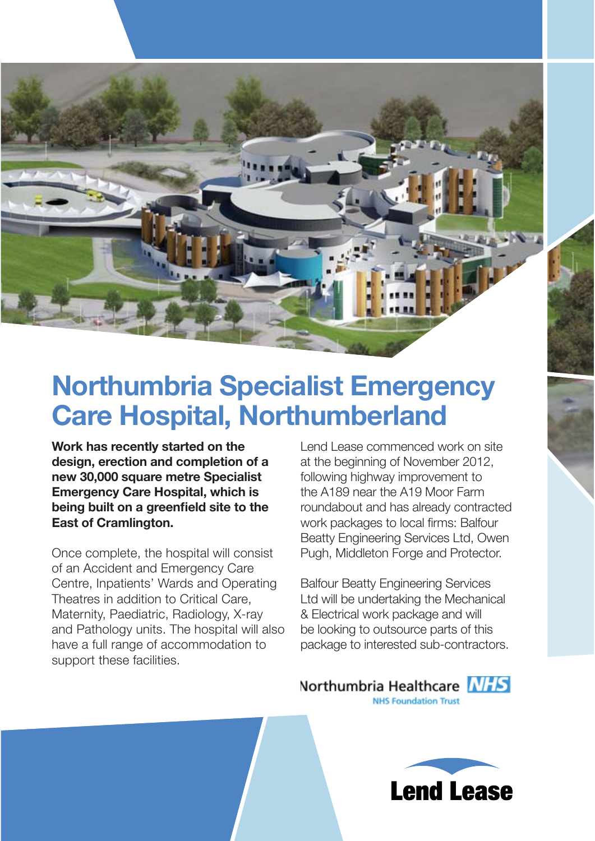

## **Northumbria Specialist Emergency Care Hospital, Northumberland**

**Work has recently started on the design, erection and completion of a new 30,000 square metre Specialist Emergency Care Hospital, which is**  being built on a greenfield site to the **East of Cramlington.** 

Once complete, the hospital will consist of an Accident and Emergency Care Centre, Inpatients' Wards and Operating Theatres in addition to Critical Care, Maternity, Paediatric, Radiology, X-ray and Pathology units. The hospital will also have a full range of accommodation to support these facilities.

Lend Lease commenced work on site at the beginning of November 2012, following highway improvement to the A189 near the A19 Moor Farm roundabout and has already contracted work packages to local firms: Balfour Beatty Engineering Services Ltd, Owen Pugh, Middleton Forge and Protector.

Balfour Beatty Engineering Services Ltd will be undertaking the Mechanical & Electrical work package and will be looking to outsource parts of this package to interested sub-contractors.

## Northumbria Healthcare NHS **NHS Foundation Trust**